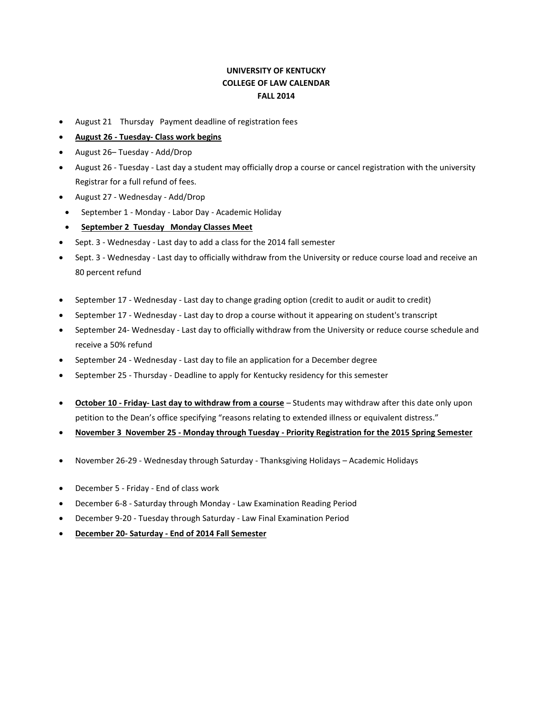## **UNIVERSITY OF KENTUCKY COLLEGE OF LAW CALENDAR FALL 2014**

- August 21 Thursday Payment deadline of registration fees
- **August 26 - Tuesday- Class work begins**
- August 26– Tuesday Add/Drop
- August 26 Tuesday Last day a student may officially drop a course or cancel registration with the university Registrar for a full refund of fees.
- August 27 Wednesday Add/Drop
- September 1 Monday Labor Day Academic Holiday
- **September 2 Tuesday Monday Classes Meet**
- Sept. 3 Wednesday Last day to add a class for the 2014 fall semester
- Sept. 3 Wednesday Last day to officially withdraw from the University or reduce course load and receive an 80 percent refund
- September 17 Wednesday Last day to change grading option (credit to audit or audit to credit)
- September 17 Wednesday Last day to drop a course without it appearing on student's transcript
- September 24- Wednesday Last day to officially withdraw from the University or reduce course schedule and receive a 50% refund
- September 24 Wednesday Last day to file an application for a December degree
- September 25 Thursday Deadline to apply for Kentucky residency for this semester
- **October 10 - Friday- Last day to withdraw from a course** Students may withdraw after this date only upon petition to the Dean's office specifying "reasons relating to extended illness or equivalent distress."
- **November 3 November 25 - Monday through Tuesday - Priority Registration for the 2015 Spring Semester**
- November 26-29 Wednesday through Saturday Thanksgiving Holidays Academic Holidays
- December 5 Friday End of class work
- December 6-8 Saturday through Monday Law Examination Reading Period
- December 9-20 Tuesday through Saturday Law Final Examination Period
- **December 20- Saturday - End of 2014 Fall Semester**